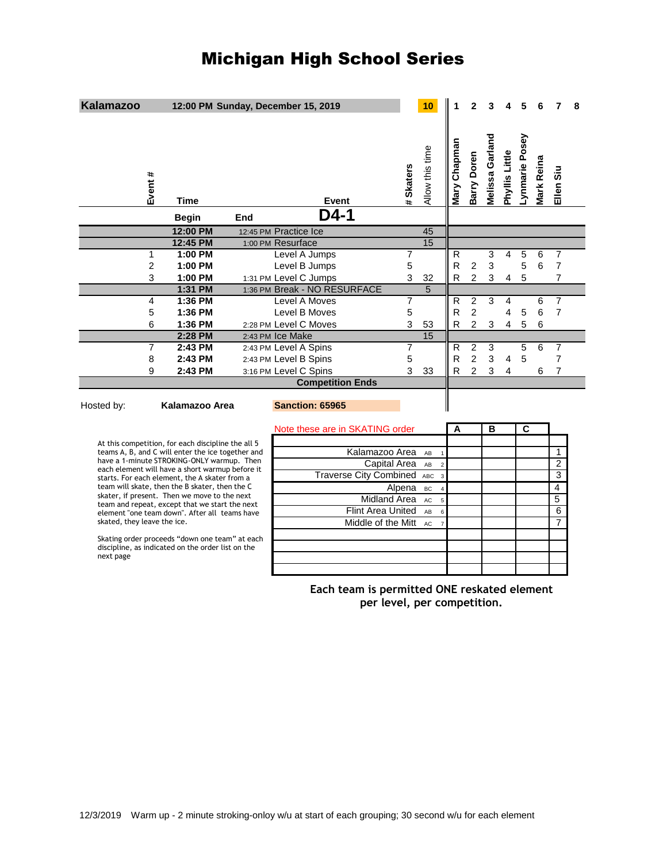# Michigan High School Series

| <b>Kalamazoo</b>                                                                                                 |                    |     | 12:00 PM Sunday, December 15, 2019        |                                             |                | 10                          |                  | 2                                |                           |                         |                |                |                                  | 8 |
|------------------------------------------------------------------------------------------------------------------|--------------------|-----|-------------------------------------------|---------------------------------------------|----------------|-----------------------------|------------------|----------------------------------|---------------------------|-------------------------|----------------|----------------|----------------------------------|---|
| Event #                                                                                                          | Time               |     | <b>Event</b>                              |                                             | # Skaters      | Allow this time             | Mary Chapman     | Barry Doren                      | Melissa Garland           | Phyllis Little          | Lynmarie Posey | Mark Reina     | Ellen Siu                        |   |
|                                                                                                                  | <b>Begin</b>       | End | D4-1                                      |                                             |                |                             |                  |                                  |                           |                         |                |                |                                  |   |
|                                                                                                                  | 12:00 PM           |     | 12:45 PM Practice Ice                     |                                             |                | 45                          |                  |                                  |                           |                         |                |                |                                  |   |
|                                                                                                                  | 12:45 PM           |     | 1:00 PM Resurface                         |                                             |                | 15                          |                  |                                  |                           |                         |                |                |                                  |   |
| $\mathbf{1}$                                                                                                     | 1:00 PM            |     | Level A Jumps                             |                                             | $\overline{7}$ |                             | R                |                                  | 3                         | 4                       | 5              | 6              | $\overline{7}$                   |   |
| $\overline{c}$                                                                                                   | 1:00 PM            |     | Level B Jumps                             |                                             | 5              |                             | $\mathsf R$      | $\overline{c}$                   | 3                         |                         | 5              | $6\phantom{1}$ | $\overline{7}$                   |   |
| 3                                                                                                                | 1:00 PM            |     | 1:31 PM Level C Jumps                     |                                             | 3              | 32                          | R                | $\overline{c}$                   | 3                         | $\overline{4}$          | 5              |                | $\overline{7}$                   |   |
|                                                                                                                  | 1:31 PM            |     | 1:36 PM Break - NO RESURFACE              |                                             |                | $\overline{5}$              |                  |                                  |                           |                         |                |                |                                  |   |
| 4                                                                                                                | 1:36 PM<br>1:36 PM |     | Level A Moves                             |                                             | $\overline{7}$ |                             | R<br>$\mathsf R$ | $\overline{2}$<br>$\overline{c}$ | 3                         | 4<br>4                  |                | 6<br>6         | $\overline{7}$<br>$\overline{7}$ |   |
| 5<br>6                                                                                                           |                    |     | Level B Moves                             |                                             | 5<br>3         |                             |                  | $\overline{c}$                   |                           |                         | 5<br>5         |                |                                  |   |
|                                                                                                                  | 1:36 PM<br>2:28 PM |     | 2:28 PM Level C Moves<br>2:43 PM Ice Make |                                             |                | 53<br>15                    | R                |                                  | $\ensuremath{\mathsf{3}}$ | $\overline{\mathbf{4}}$ |                | 6              |                                  |   |
| $\overline{7}$                                                                                                   | 2:43 PM            |     | 2:43 PM Level A Spins                     |                                             | $\overline{7}$ |                             | $\overline{R}$   | $\overline{c}$                   | 3                         |                         | $\overline{5}$ | $6\phantom{1}$ | $\overline{7}$                   |   |
| 8                                                                                                                | 2:43 PM            |     | 2:43 PM Level B Spins                     |                                             | 5              |                             | $\mathsf{R}$     | $\overline{c}$                   | 3                         | $\overline{4}$          | 5              |                | $\overline{7}$                   |   |
| 9                                                                                                                | 2:43 PM            |     | 3:16 PM Level C Spins                     |                                             | 3              | 33                          | R                | $\overline{2}$                   | 3                         | 4                       |                | 6              | 7                                |   |
|                                                                                                                  |                    |     | <b>Competition Ends</b>                   |                                             |                |                             |                  |                                  |                           |                         |                |                |                                  |   |
|                                                                                                                  |                    |     |                                           |                                             |                |                             |                  |                                  |                           |                         |                |                |                                  |   |
| Hosted by:                                                                                                       | Kalamazoo Area     |     | <b>Sanction: 65965</b>                    |                                             |                |                             |                  |                                  |                           |                         |                |                |                                  |   |
|                                                                                                                  |                    |     | Note these are in SKATING order           |                                             |                |                             | A                |                                  | в                         |                         | C              |                |                                  |   |
| At this competition, for each discipline the all 5                                                               |                    |     |                                           |                                             |                |                             |                  |                                  |                           |                         |                |                |                                  |   |
| teams A, B, and C will enter the ice together and<br>have a 1-minute STROKING-ONLY warmup. Then                  |                    |     |                                           | Kalamazoo Area                              |                | AB<br>$\mathbf{1}$          |                  |                                  |                           |                         |                |                | 1                                |   |
| each element will have a short warmup before it                                                                  |                    |     |                                           | Capital Area                                |                | AB<br>$\overline{c}$        |                  |                                  |                           |                         |                |                | $\overline{2}$                   |   |
| starts. For each element, the A skater from a                                                                    |                    |     |                                           | Traverse City Combined ABC                  |                | $\overline{3}$              |                  |                                  |                           |                         |                |                | 3                                |   |
| team will skate, then the B skater, then the C<br>skater, if present. Then we move to the next                   |                    |     |                                           |                                             | Alpena         | <b>BC</b><br>$\overline{4}$ |                  |                                  |                           |                         |                |                | $\overline{4}$                   |   |
| team and repeat, except that we start the next                                                                   |                    |     |                                           | <b>Midland Area</b>                         |                | <b>AC</b><br>$\overline{5}$ |                  |                                  |                           |                         |                |                | 5                                |   |
| element "one team down". After all teams have                                                                    |                    |     |                                           | Flint Area United                           |                | AB<br>$6\phantom{a}$        |                  |                                  |                           |                         |                |                | 6                                |   |
| skated, they leave the ice.                                                                                      |                    |     |                                           | Middle of the Mitt                          |                | AC<br>$\overline{7}$        |                  |                                  |                           |                         |                |                | $\overline{7}$                   |   |
| Skating order proceeds "down one team" at each<br>discipline, as indicated on the order list on the<br>next page |                    |     |                                           |                                             |                |                             |                  |                                  |                           |                         |                |                |                                  |   |
|                                                                                                                  |                    |     |                                           | Each team is permitted ONE reskated element |                |                             |                  |                                  |                           |                         |                |                |                                  |   |

**per level, per competition.**